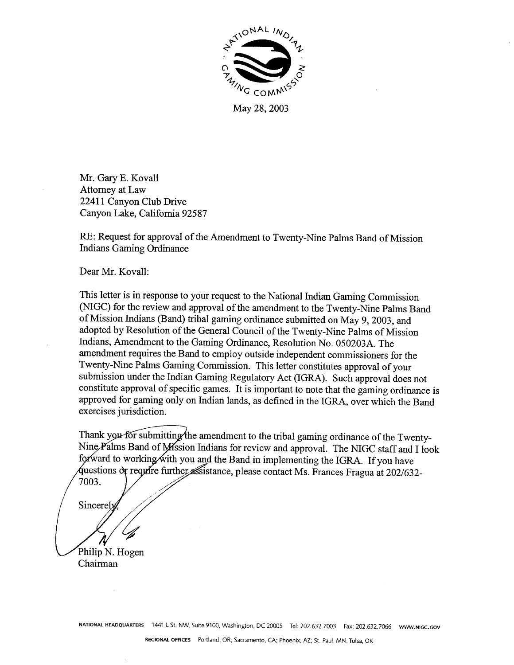

May 28, 2003

Mr. Gary E. Kovall Attorney at Law 22411 Canyon Club Drive Canyon Lake, California 92587

RE: Request for approval of the Amendment to Twenty-Nine Palms Band of Mission **Indians Gaming Ordinance** 

Dear Mr. Kovall:

This letter is in response to your request to the National Indian Gaming Commission (NIGC) for the review and approval of the amendment to the Twenty-Nine Palms Band of Mission Indians (Band) tribal gaming ordinance submitted on May 9, 2003, and adopted by Resolution of the General Council of the Twenty-Nine Palms of Mission Indians, Amendment to the Gaming Ordinance, Resolution No. 050203A. The amendment requires the Band to employ outside independent commissioners for the Twenty-Nine Palms Gaming Commission. This letter constitutes approval of your submission under the Indian Gaming Regulatory Act (IGRA). Such approval does not constitute approval of specific games. It is important to note that the gaming ordinance is approved for gaming only on Indian lands, as defined in the IGRA, over which the Band exercises jurisdiction.

Thank you for submitting the amendment to the tribal gaming ordinance of the Twenty-Nine Palms Band of Mission Indians for review and approval. The NIGC staff and I look forward to working with you and the Band in implementing the IGRA. If you have questions or require further assistance, please contact Ms. Frances Fragua at 202/632-7003.

Sincerel

Philip N. Hogen Chairman

NATIONAL HEADQUARTERS 1441 L St. NW, Suite 9100, Washington, DC 20005 Tel: 202.632.7003 Fax: 202.632.7066 www.nicc.cov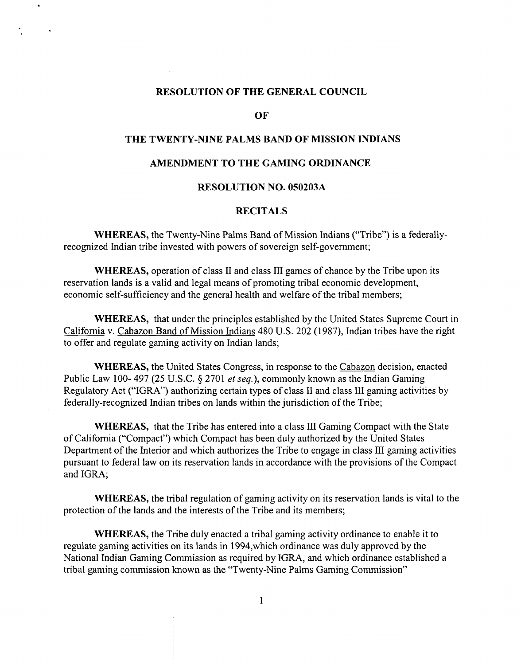### **RESOLUTION OF THE GENERAL COUNCIL**

**OF**

# **THE TWENTY-NINE PALMS BAND OF MISSION INDIANS**

## **AMENDMENT TO THE GAMING ORDINANCE**

# **RESOLUTION NO. 050203A**

# **RECITALS**

**WHEREAS, the Twenty-Nine Palms Band of Mission Indians (Tribe) is <sup>a</sup> federallyrecognized Indian tribe invested with powers of sovereign self-government;**

**WHEREAS, operation of class II and class HI games of chance by the Tribe upon its reservation lands is <sup>a</sup> valid and legal means of promoting tribal economic development, economic self-sufficiency and the general health and welfare of the tribal members;**

**WHEREAS, that under the principles established by the United States Supreme Court in California v. Cabazon Band of Mission Indians 480 U.S. 202 (1987), Indian tribes have the right to offer and regulate gaming activity on Indian lands;**

**WHEREAS, the United States Congress, in response to the Cabazon decision, enacted Public Law 100- 497 (25 U.S.C. § 2701 et seq.), commonly known as the Indian Gaming Regulatory Act (IGRA) authorizing certain types of class II and class III gaming activities by federally-recognized Indian tribes on lands within the jurisdiction of the Tribe;**

**WHEREAS, that the Tribe has entered into <sup>a</sup> class III Gaming Compact with the State of California (Compact) which Compact has been duly authorized by the United States Department of the Interior and which authorizes the Tribe to engage in class III gaming activities pursuant to federal law on its reservation lands in accordance with the provisions of the Compact and IGRA;**

**WHEREAS, the tribal regulation of gaming activity on its reservation lands is vital to the protection of the lands and the interests of the Tribe and its members;**

**WHEREAS, the Tribe duly enacted <sup>a</sup> tribal gaming activity ordinance to enable it to regulate gaming activities on its lands in <sup>I</sup> 994,which ordinance was duly approved by the National Indian Gaming Commission as required by IGRA, and which ordinance established <sup>a</sup> tribal gaming commission known as the Twenty-Nine Palms Gaming Commission**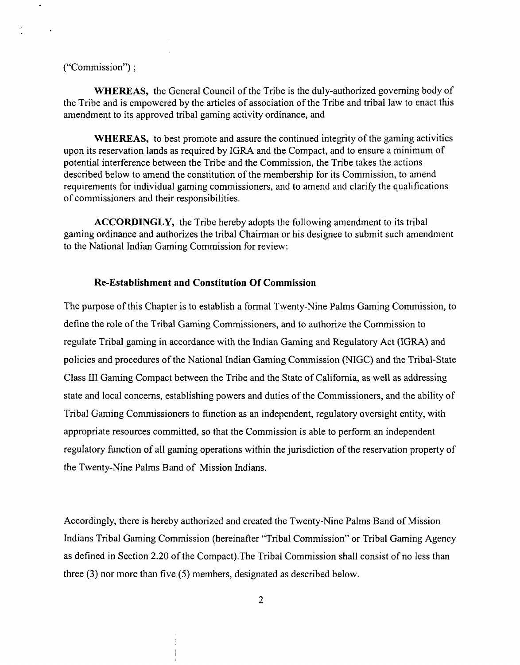# ("Commission");

 $\ddot{\phantom{a}}$ 

**WHEREAS, the General Council of the Tribe is the duly-authorized governing body of** the Tribe and is empowered by the articles of association of the Tribe and tribal law to enact this **amendment to its approved tribal gaming activity ordinance, and**

**WHEREAS, to best promote and assure the continued integrity of the gaming activities upon its reservation lands as required by IGRA and the Compact, and to ensure <sup>a</sup> minimum of potential interference between the Tribe and the Commission, the Tribe takes the actions described below to amend the constitution of the membership for its Commission, to amend requirements for individual gaming commissioners, and to amend and clarify the qualifications of commissioners and their responsibilities.**

**ACCORDINGLY, the Tribe hereby adopts the following amendment to its tribal gaming ordinance and authorizes the tribal Chairman or his designee to submit such amendment to the National Indian Gaming Commission for review:**

# **Re-Establishment and Constitution Of Commission**

**The purpose of this Chapter is to establish <sup>a</sup> formal Twenty-Nine Palms Gaming Commission, to define the role of the Tribal Gaming Commissioners, and to authorize the Commission to regulate Tribal gaming in accordance with the Indian Gaming and Regulatory Act (IGRA) and policies and procedures of the National Indian Gaming Commission (NIGC) and the Tribal-State Class III Gaming Compact between the Tribe and the State of California, as well as addressing state and local concerns, establishing powers and duties of the Commissioners, and the ability of Tribal Gaming Commissioners to function as an independent, regulatory oversight entity, with appropriate resources committed, so that the Commission is able to perform an independent regulatory function of all gaming operations within the jurisdiction of the reservation property of the Twenty-Nine Palms Band of Mission Indians.**

**Accordingly, there is hereby authorized and created the Twenty-Nine Palms Band of Mission Indians Tribal Gaming Commission (hereinafter Tribal Commission or Tribal Gaming Agency as defined in Section 2.20 of the Compact).The Tribal Commission shall consist of no less than three (3) nor more than five (5) members, designated as described below.**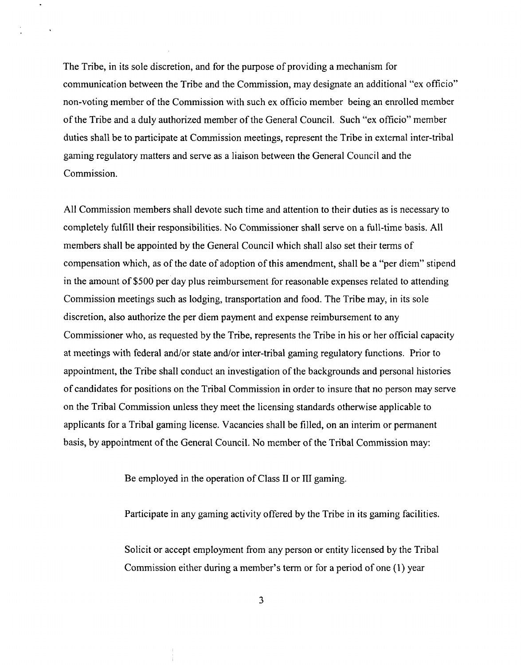**The Tribe, in its sole discretion, and for the purpose of providing <sup>a</sup> mechanism for communication between the Tribe and the Commission, may designate an additional ex officio non-voting member of the Commission with such ex officio member being an enrolled member of the Tribe and <sup>a</sup> duly authorized member of the General Council. Such ex officio member duties shall be to participate at Commission meetings, represent the Tribe in external inter-tribal gaming regulatory matters and serve as <sup>a</sup> liaison between the General Council and the Commission.**

**All Commission members shall devote such time and attention to their duties as is necessary to completely fulfill their responsibilities. No Commissioner shall serve on <sup>a</sup> full-time basis. All members shall be appointed by the General Council which shall also set their terms of compensation which, as of the date of adoption of this amendment, shall be <sup>a</sup> per diem stipend in the amount of \$500 per day plus reimbursement for reasonable expenses related to attending Commission meetings such as lodging, transportation and food. The Tribe may, in its sole discretion, also authorize the per diem payment and expense reimbursement to any Commissioner who, as requested by the Tribe, represents the Tribe in his or her official capacity at meetings with federal andlor state andlor inter-tribal gaming regulatory functions. Prior to appointment, the Tribe shall conduct an investigation of the backgrounds and personal histories of candidates for positions on the Tribal Commission in order to insure that no person may serve on the Tribal Commission unless they meet the licensing standards otherwise applicable to applicants for a Tribal gaming license. Vacancies shall be filled, on an interim or permanent basis, by appointment of the General Council. No member of the Tribal Commission may:**

**Be employed in the operation of Class II or III gaming.**

**Participate in any gaming activity offered by the Tribe in its gaming facilities.**

**Solicit or accept employment from any person or entity licensed by the Tribal Commission** either **during** a member's term or for a period of one (1) year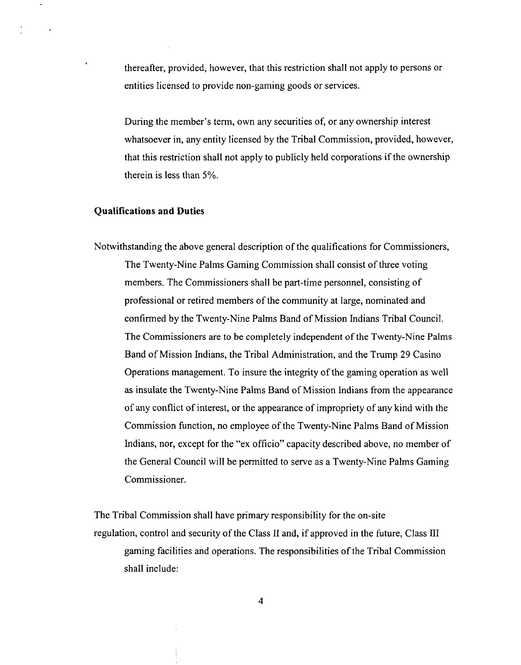**thereafter, provided, however, that this restriction shall not apply to persons or entities licensed to provide non-gaming goods or services.**

**During** the member's term, own any securities of, or any ownership interest **whatsoever in, any entity licensed by the Tribal Commission, provided, however, that this restriction shall not apply to publicly held corporations if the ownership therein is less than 5%.**

### **Qualifications and Duties**

 $\ddot{\phantom{a}}$ 

**Notwithstanding the above general description of the qualifications for Commissioners, The Twenty-Nine Palms Gaming Commission shall consist of three voting members. The Commissioners shall be part-time personnel, consisting of professional or retired members of the community at large, nominated and confirmed by the Twenty-Nine Palms Band of Mission Indians Tribal Council. The Commissioners are to be completely independent of the Twenty-Nine Palms Band of Mission Indians, the Tribal Administration, and the Trump 29 Casino Operations management. To insure the integrity of the gaming operation as well as insulate the Twenty-Nine Palms Band of Mission Indians from the appearance of any conflict of interest, or the appearance of impropriety of any kind with the Commission function, no employee of the Twenty-Nine Palms Band of Mission Indians, nor, except for the ex officio capacity described above, no member of the General Council will be permitted to serve as <sup>a</sup> Twenty-Nine Palms Gaming Commissioner.**

**The Tribal Commission shall have primary responsibility for the on-site regulation, control and security of the Class II and, if approved in the future, Class III gaming facilities and operations. The responsibilities of the Tribal Commission shall include:**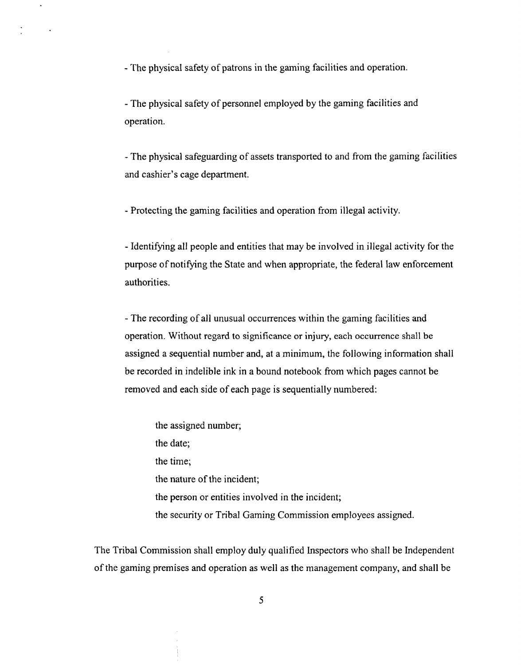**- The physical safety of patrons in the gaming facilities and operation.**

 $\Box$ 

 $\sim$ 

**- The physical safety of personnel employed by the gaming facilities and operation.**

**- The physical safeguarding of assets transported to and from the gaming facilities**  $a$  **and cashier**'s **cage department**.

**- Protecting the gaming facilities and operation from illegal activity.**

**- Identifying all people and entities that may be involved in illegal activity for the purpose of notifying the State and when appropriate, the federal law enforcement authorities.**

**- The recording of all unusual occurrences within the gaming facilities and operation. Without regard to significance or injury, each occurrence shall be assigned a sequential number and, at <sup>a</sup> minimum, the following information shall be recorded in indelible ink in <sup>a</sup> bound notebook from which pages cannot be removed and each side of each page is sequentially numbered:**

**the assigned number; the date; the time; the nature of the incident; the person or entities involved in the incident; the security or Tribal Gaming Commission employees assigned.**

**The Tribal Commission shall employ duly qualified Inspectors who shall be Independent of the gaming premises and operation as well as the management company, and shall be**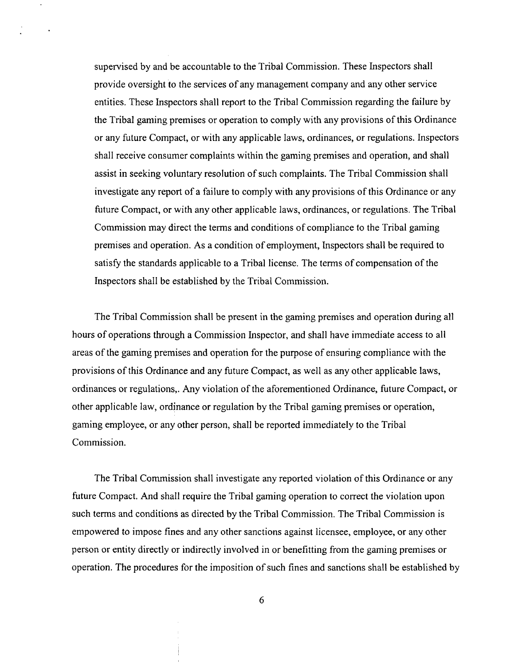**supervised by and be accountable to the Tribal Commission. These Inspectors shall provide oversight to the services of any management company and any other service entities. These Inspectors shall report to the Tribal Commission regarding the failure by the Tribal gaming premises or operation to comply with any provisions of this Ordinance or any future Compact, or with any applicable laws, ordinances, or regulations. Inspectors shall receive consumer complaints within the gaming premises and operation, and shall assist in seeking voluntary resolution of such complaints. The Tribal Commission shall investigate any report of <sup>a</sup> failure to comply with any provisions of this Ordinance or any future Compact, or with any other applicable laws, ordinances, or regulations. The Tribal Commission may direct the terms and conditions of compliance to the Tribal gaming premises and operation. As <sup>a</sup> condition of employment, Inspectors shall be required to satisfy the standards applicable to <sup>a</sup> Tribal license. The terms of compensation of the Inspectors shall be established by the Tribal Commission.**

**The Tribal Commission shall be present in the gaming premises and operation during all hours of operations through <sup>a</sup> Commission Inspector, and shall have immediate access to all areas of the gaming premises and operation for the purpose of ensuring compliance with the provisions of this Ordinance and any future Compact, as well as any other applicable laws, ordinances or regulations,. Any violation of the aforementioned Ordinance, future Compact, or other applicable law, ordinance or regulation by the Tribal gaming premises or operation, gaming employee, or any other person, shall be reported immediately to the Tribal Commission.**

**The Tribal Commission shall investigate any reported violation of this Ordinance or any future Compact. And shall require the Tribal gaming operation to correct the violation upon such terms and conditions as directed by the Tribal Commission. The Tribal Commission is empowered to impose fines and any other sanctions against licensee, employee, or any other person or entity directly or indirectly involved in or benefitting from the gaming premises or operation. The procedures for the imposition of such fines and sanctions shall be established by**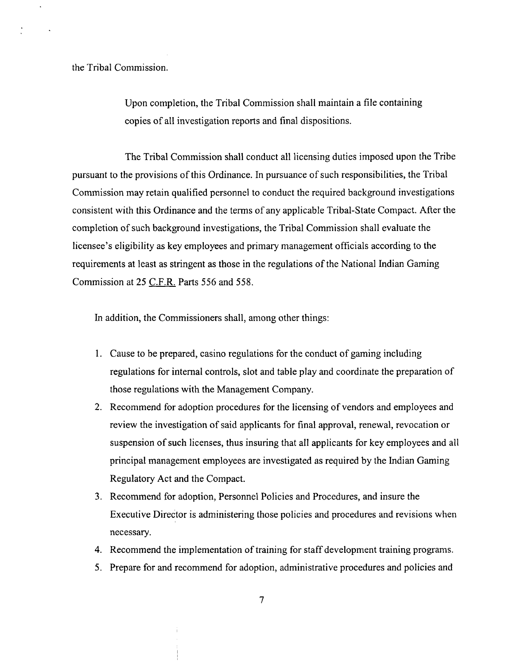**the Tribal Commission.**

**Upon completion, the Tribal Commission shall maintain <sup>a</sup> file containing copies of all investigation reports and final dispositions.**

**The Tribal Commission shall conduct all licensing duties imposed upon the Tribe pursuant to the provisions of this Ordinance. In pursuance of such responsibilities, the Tribal Commission may retain qualified personnel to conduct the required background investigations consistent with this Ordinance and the terms of any applicable Tribal-State Compact. After the completion of such background investigations, the Tribal Commission shall evaluate the licensee**'s eligibility as key employees and primary management officials according to the **requirements at least as stringent as those in the regulations of the National Indian Gaming Commission at 25 C.F.R Parts 556 and 558.**

**In addition, the Commissioners shall, among other things:**

- **1. Cause to be prepared, casino regulations for the conduct of gaming including regulations for internal controls, slot and table play and coordinate the preparation of those regulations with the Management Company.**
- **2. Recommend for adoption procedures for the licensing of vendors and employees and review the investigation of said applicants for final approval, renewal, revocation or suspension of such licenses, thus insuring that all applicants for key employees and all principal management employees are investigated as required by the Indian Gaming Regulatory Act and the Compact.**
- **3. Recommend for adoption, Personnel Policies and Procedures, and insure the Executive Director is administering those policies and procedures and revisions when necessary.**
- **4. Recommend the implementation of training for staff development training programs.**
- **5. Prepare for and recommend for adoption, administrative procedures and policies and**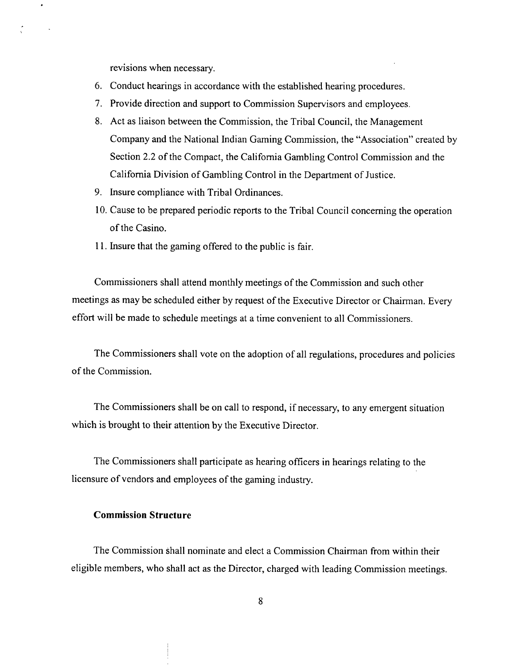**revisions when necessary.**

- **6. Conduct hearings in accordance with the established hearing procedures.**
- **7. Provide direction and support to Commission Supervisors and employees.**
- **8. Act as liaison between the Commission, the Tribal Council, the Management Company and the National Indian Gaming Commission, the Association created by Section 2.2 of the Compact, the California Gambling Control Commission and the California Division of Gambling Control in the Department of Justice.**
- **9. Insure compliance with Tribal Ordinances.**
- **10. Cause to be prepared periodic reports to the Tribal Council concerning the operation of the Casino.**
- **11. Insure that the gaming offered to the public is fair.**

**Commissioners shall attend monthly meetings of the Commission and such other meetings as may be scheduled either by request of the Executive Director or Chairman. Every effort will be made to schedule meetings at <sup>a</sup> time convenient to all Commissioners.**

**The Commissioners shall vote on the adoption of all regulations, procedures and policies of the Commission.**

**The Commissioners shall be on call to respond, if necessary, to any emergent situation which is brought to their attention by the Executive Director.**

**The Commissioners shall participate as hearing officers in hearings relating to the licensure of vendors and employees of the gaming industry.**

#### **Commission Structure**

**The Commission shall nominate and elect <sup>a</sup> Commission Chairman from within their eligible members, who shall act as the Director, charged with leading Commission meetings.**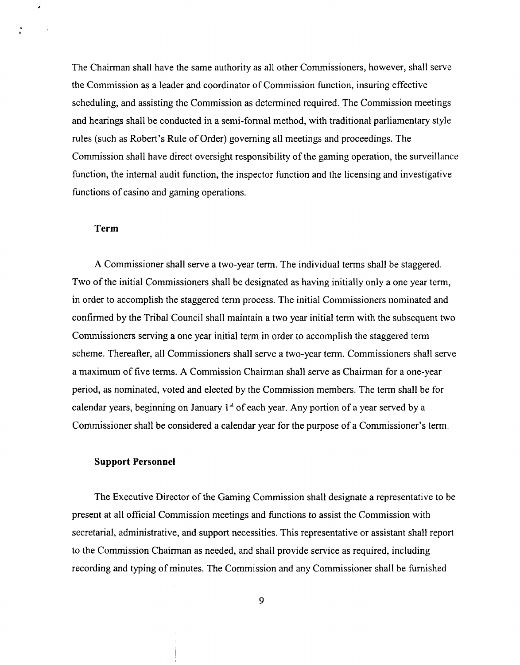**The Chairman shall have the same authority as all other Commissioners, however, shall serve the Commission as <sup>a</sup> leader and coordinator of Commission function, insuring effective scheduling, and assisting the Commission as determined required. The Commission meetings and hearings shall be conducted in a semi-formal method, with traditional parliamentary style**  $r$ ules (such as Robert's Rule of Order) governing all meetings and proceedings. The **Commission shall have direct oversight responsibility of the gaming operation, the surveillance function, the internal audit function, the inspector function and the licensing and investigative functions of casino and gaming operations.**

#### **Term**

 $\lambda$ 

**A Commissioner shall serve <sup>a</sup> two-year term. The individual terms shall be staggered. Two of the initial Commissioners shall be designated as having initially only <sup>a</sup> one year term, in order to accomplish the staggered term process. The initial Commissioners nominated and confirmed by the Tribal Council shall maintain <sup>a</sup> two year initial term with the subsequent two Commissioners serving <sup>a</sup> one year initial term in order to accomplish the staggered term scheme. Thereafter, all Commissioners shall serve <sup>a</sup> two-year term. Commissioners shall serve <sup>a</sup> maximum of five terms. A Commission Chairman shall serve as Chairman for <sup>a</sup> one-year period, as nominated, voted and elected by the Commission members. The term shall be for calendar years, beginning on January ~ of each year. Any portion of <sup>a</sup> year served by <sup>a</sup> Commissioner** shall be considered a calendar year for the purpose of a Commissioner's term.

#### **Support Personnel**

**The Executive Director of the Gaming Commission shall designate <sup>a</sup> representative to be present at all official Commission meetings and functions to assist the Commission with secretarial, administrative, and support necessities. This representative or assistant shall report to the Commission Chairman as needed, and shall provide service as required, including recording and typing of minutes. The Commission and any Commissioner shall be furnished**

**9**